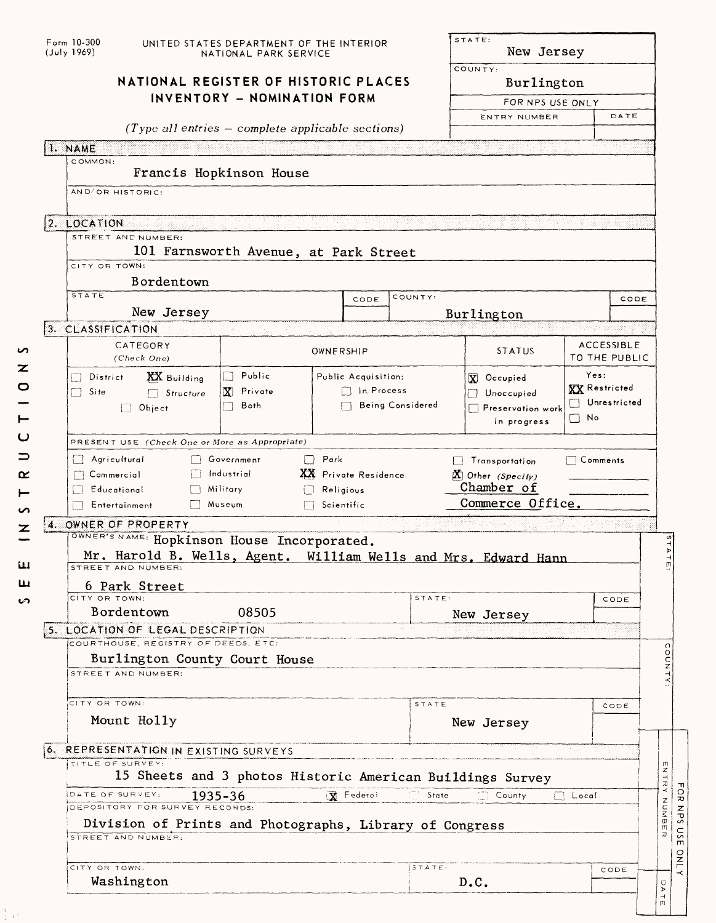| Form 10-300<br>(July 1969)                                                                                                          | UNITED STATES DEPARTMENT OF THE INTERIOR<br>NATIONAL PARK SERVICE  |                      | STATE:<br>New Jersey                           |                                |                                    |                              |  |  |  |  |  |
|-------------------------------------------------------------------------------------------------------------------------------------|--------------------------------------------------------------------|----------------------|------------------------------------------------|--------------------------------|------------------------------------|------------------------------|--|--|--|--|--|
|                                                                                                                                     | NATIONAL REGISTER OF HISTORIC PLACES                               |                      |                                                | COUNTY:<br>Burlington          |                                    |                              |  |  |  |  |  |
|                                                                                                                                     | INVENTORY - NOMINATION FORM                                        |                      | FOR NPS USE ONLY                               |                                |                                    |                              |  |  |  |  |  |
|                                                                                                                                     |                                                                    |                      | ENTRY NUMBER                                   |                                | DATE                               |                              |  |  |  |  |  |
| $(Type all entries - complete applicable sections)$<br>1. NAME                                                                      |                                                                    |                      |                                                |                                |                                    |                              |  |  |  |  |  |
| COMMON:<br>Francis Hopkinson House                                                                                                  |                                                                    |                      |                                                |                                |                                    |                              |  |  |  |  |  |
| AND/OR HISTORIC:                                                                                                                    |                                                                    |                      |                                                |                                |                                    |                              |  |  |  |  |  |
|                                                                                                                                     |                                                                    |                      |                                                |                                |                                    |                              |  |  |  |  |  |
| 2. LOCATION                                                                                                                         |                                                                    |                      |                                                |                                |                                    |                              |  |  |  |  |  |
| STREET AND NUMBER:                                                                                                                  |                                                                    |                      |                                                |                                |                                    |                              |  |  |  |  |  |
| CITY OR TOWN:                                                                                                                       | 101 Farnsworth Avenue, at Park Street                              |                      |                                                |                                |                                    |                              |  |  |  |  |  |
| Bordentown                                                                                                                          |                                                                    |                      |                                                |                                |                                    |                              |  |  |  |  |  |
| <b>STATE</b>                                                                                                                        |                                                                    | CODE                 | COUNTY:                                        |                                |                                    | CODE                         |  |  |  |  |  |
| New Jersey                                                                                                                          |                                                                    |                      |                                                | Burlington                     |                                    |                              |  |  |  |  |  |
| 3. CLASSIFICATION                                                                                                                   |                                                                    |                      |                                                |                                |                                    |                              |  |  |  |  |  |
| CATEGORY<br>(Check One)                                                                                                             |                                                                    | OWNERSHIP            |                                                | <b>STATUS</b>                  | <b>ACCESSIBLE</b><br>TO THE PUBLIC |                              |  |  |  |  |  |
| <b>XX</b> Building<br>District                                                                                                      | $\Box$ Public                                                      | Public Acquisition:  |                                                | X Occupied                     |                                    | Yes:<br><b>XX</b> Restricted |  |  |  |  |  |
| Site<br>$\Box$ Structure                                                                                                            | $\Box$ In Process<br>$\mathbf{X}$ Private                          |                      |                                                | Unoccupied                     |                                    |                              |  |  |  |  |  |
| $\Box$ Object                                                                                                                       |                                                                    | Being Considered     | Unrestricted<br>Preservation work<br>$\Box$ No |                                |                                    |                              |  |  |  |  |  |
| in progress                                                                                                                         |                                                                    |                      |                                                |                                |                                    |                              |  |  |  |  |  |
| PRESENT USE (Check One or More as Appropriate)                                                                                      |                                                                    |                      |                                                |                                |                                    |                              |  |  |  |  |  |
| Agricultural<br>Commercial                                                                                                          | $\Box$ Park<br>Government<br>Industrial                            |                      | $\Box$ Comments<br>$\Box$ Transportation       |                                |                                    |                              |  |  |  |  |  |
|                                                                                                                                     |                                                                    |                      |                                                |                                |                                    |                              |  |  |  |  |  |
|                                                                                                                                     |                                                                    | XX Private Residence |                                                | $X$ Other (Specify)            |                                    |                              |  |  |  |  |  |
| Educational<br>Entertainment                                                                                                        | $\Box$ Military<br>$\Box$ Religious<br>Museum<br>$\Box$ Scientific |                      |                                                | Chamber of<br>Commerce Office. |                                    |                              |  |  |  |  |  |
| 4. OWNER OF PROPERTY                                                                                                                |                                                                    |                      |                                                |                                |                                    |                              |  |  |  |  |  |
| OWNER'S NAME: Hopkinson House Incorporated.<br>Mr. Harold B. Wells, Agent. William Wells and Mrs. Edward Hann<br>STREET AND NUMBER: |                                                                    |                      |                                                |                                |                                    |                              |  |  |  |  |  |
| 6 Park Street                                                                                                                       |                                                                    |                      |                                                |                                |                                    |                              |  |  |  |  |  |
| CITY OR TOWN:                                                                                                                       |                                                                    |                      | $s_{TATE}$                                     |                                |                                    | CODE                         |  |  |  |  |  |
| Bordentown                                                                                                                          | 08505                                                              |                      |                                                | New Jersey                     |                                    |                              |  |  |  |  |  |
| 5. LOCATION OF LEGAL DESCRIPTION<br>COURTHOUSE, REGISTRY OF DEEDS, ETC.                                                             |                                                                    |                      |                                                |                                |                                    |                              |  |  |  |  |  |
| Burlington County Court House                                                                                                       |                                                                    |                      |                                                |                                |                                    |                              |  |  |  |  |  |
| STREET AND NUMBER:                                                                                                                  |                                                                    |                      |                                                |                                |                                    |                              |  |  |  |  |  |
|                                                                                                                                     |                                                                    |                      |                                                |                                |                                    |                              |  |  |  |  |  |
| CITY OR TOWN:                                                                                                                       |                                                                    |                      | STATE                                          |                                |                                    | CODE                         |  |  |  |  |  |
| Mount Holly                                                                                                                         |                                                                    |                      |                                                | New Jersey                     |                                    |                              |  |  |  |  |  |
| 6. REPRESENTATION IN EXISTING SURVEYS                                                                                               |                                                                    |                      |                                                |                                |                                    |                              |  |  |  |  |  |
| TITLE OF SURVEY:                                                                                                                    |                                                                    |                      |                                                |                                |                                    |                              |  |  |  |  |  |
|                                                                                                                                     | 15 Sheets and 3 photos Historic American Buildings Survey          |                      |                                                |                                |                                    |                              |  |  |  |  |  |
| DATE OF SURVEY:<br>DEPOSITORY FOR SURVEY RECORDS:                                                                                   | 1935-36                                                            | R Federoi            | State                                          | <b>County</b>                  | $\Box$ Local                       |                              |  |  |  |  |  |
| Division of Prints and Photographs, Library of Congress                                                                             |                                                                    |                      |                                                |                                |                                    |                              |  |  |  |  |  |
| STREET AND NUMBER:                                                                                                                  |                                                                    |                      |                                                |                                |                                    |                              |  |  |  |  |  |
| CITY OR TOWN.                                                                                                                       |                                                                    |                      | 5TATE:                                         |                                |                                    |                              |  |  |  |  |  |
| Washington                                                                                                                          |                                                                    |                      |                                                | D.C.                           |                                    | CODE                         |  |  |  |  |  |

 $\frac{1}{2} \frac{1}{2} \rho^{\frac{1}{2}}$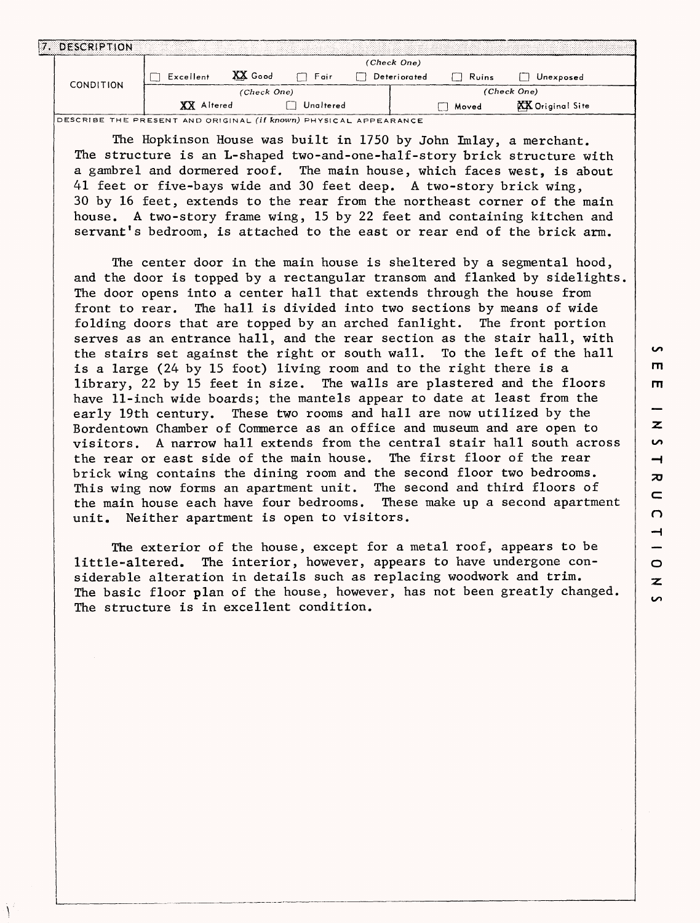| 17.1 | <b>DESCRIPTION</b> |                   |             |           |              |              |                  |  |
|------|--------------------|-------------------|-------------|-----------|--------------|--------------|------------------|--|
|      |                    |                   |             |           | (Check One)  |              |                  |  |
|      | <b>CONDITION</b>   | Excellent         | XX Good     | ⊣ ∃ Fair  | Deteriorated | Ruins<br>. . | Unexposed        |  |
|      |                    |                   | (Check One) |           |              |              | (Check One)      |  |
|      |                    | <b>XX</b> Altered |             | Unaltered |              | Moved        | XX Original Site |  |

**DESCRIBE THE PRESENT AND ORIGINAL (if known) PHYSICAL APPEARANCE**

The Hopkinson House was built in 1750 by John Imlay, a merchant. The structure is an L-shaped two-and-one-half-story brick structure with a gambrel and dormered roof. The main house, which faces west, is about 41 feet or five-bays wide and 30 feet deep. A two-story brick wing, 30 by 16 feet, extends to the rear from the northeast corner of the main house. A two-story frame wing, 15 by 22 feet and containing kitchen and servant's bedroom, is attached to the east or rear end of the brick arm.

The center door in the main house is sheltered by a segmental hood, and the door is topped by a rectangular transom and flanked by sidelights, The door opens into a center hall that extends through the house from front to rear. The hall is divided into two sections by means of wide folding doors that are topped by an arched fanlight. The front portion serves as an entrance hall, and the rear section as the stair hall, with the stairs set against the right or south wall. To the left of the hall is a large (24 by 15 foot) living room and to the right there is a library, 22 by 15 feet in size. The walls are plastered and the floors have 11-inch wide boards; the mantels appear to date at least from the early 19th century. These two rooms and hall are now utilized by the Bordentown Chamber of Commerce as an office and museum and are open to visitors. A narrow hall extends from the central stair hall south across the rear or east side of the main house. The first floor of the rear brick wing contains the dining room and the second floor two bedrooms. This wing now forms an apartment unit. The second and third floors of the main house each have four bedrooms. These make up a second apartment unit. Neither apartment is open to visitors.

The exterior of the house, except for a metal roof, appears to be little-altered. The interior, however, appears to have undergone considerable alteration in details such as replacing woodwork and trim. The basic floor plan of the house, however, has not been greatly changed. The structure is in excellent condition.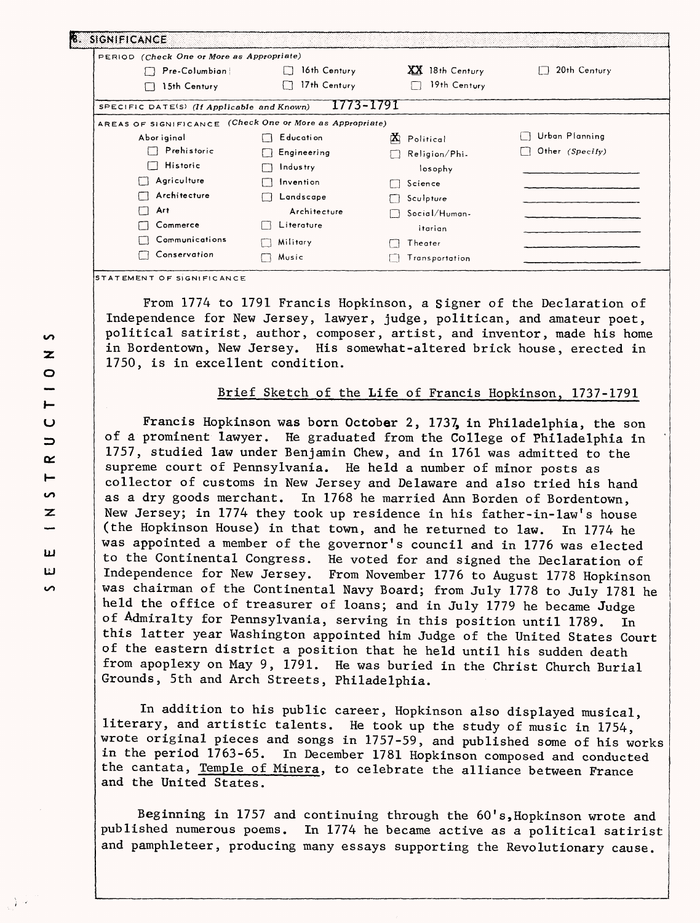| PERIOD (Check One or More as Appropriate)                |              |                 |                 |
|----------------------------------------------------------|--------------|-----------------|-----------------|
| Pre-Columbian                                            | 16th Century | XX 18th Century | 20th Century    |
| 15th Century                                             | 17th Century | 19th Century    |                 |
| SPECIFIC DATE(S) (If Applicable and Known)               | 1773-1791    |                 |                 |
| AREAS OF SIGNIFICANCE (Check One or More as Appropriate) |              |                 |                 |
| Abor iginal                                              | Education    | М<br>Political  | Urban Planning  |
| Prehistoric                                              | Engineering  | Religion/Phi-   | Other (Specify) |
| Historic                                                 | Industry     | losophy         |                 |
| Agriculture                                              | Invention    | Science         |                 |
| Architecture                                             | Landscape    | Sculpture       |                 |
| Art.                                                     | Architecture | Social/Human-   |                 |
| Commerce                                                 | Literature   | itarian         |                 |
| Communications                                           | Military     | Theater         |                 |
| Conservation                                             | Music        | Transportation  |                 |

**STATEMENT OF SIGNIFICANCE**

From 1774 to 1791 Francis Hopkinson, a Signer of the Declaration of Independence for New Jersey, lawyer, judge, politican, and amateur poet, political satirist, author, composer, artist, and inventor, made his home in Bordentown, New Jersey. His somewhat-altered brick house, erected in 1750, is in excellent condition.

## Brief Sketch of the Life of Francis Hopkinson, 1737-1791

Francis Hopkinson was born October 2, 1737, in Philadelphia, the son of a prominent lawyer. He graduated from the College of Philadelphia in 1757, studied law under Benjamin Chew, and in 1761 was admitted to the supreme court of Pennsylvania. He held a number of minor posts as collector of customs in New Jersey and Delaware and also tried his hand as a dry goods merchant. In 1768 he married Ann Borden of Bordentown, New Jersey; in 1774 they took up residence in his father-in-law's house (the Hopkinson House) in that town, and he returned to law. In 1774 he was appointed a member of the governor's council and in 1776 was elected to the Continental Congress. He voted for and signed the Declaration of Independence for New Jersey. From November 1776 to August 1778 Hopkinson was chairman of the Continental Navy Board; from July 1778 to July 1781 he held the office of treasurer of loans; and in July 1779 he became Judge of Admiralty for Pennsylvania, serving in this position until 1789. In this latter year Washington appointed him Judge of the United States Court of the eastern district a position that he held until his sudden death from apoplexy on May 9, 1791. He was buried in the Christ Church Burial Grounds, 5th and Arch Streets, Philadelphia.

In addition to his public career, Hopkinson also displayed musical, literary, and artistic talents. He took up the study of music in 1754, wrote original pieces and songs in  $1757-59$ , and published some of his works in the period  $1763-65$ . In December 1781 Hookinson composed and conducted In December 1781 Hopkinson composed and conducted the cantata, Temple of Minera, to celebrate the alliance between France and the United States.

Beginning in 1757 and continuing through the 60's, Hopkinson wrote and published numerous poems. In 1774 he became active as a political satirist and pamphleteer, producing many essays supporting the Revolutionary cause.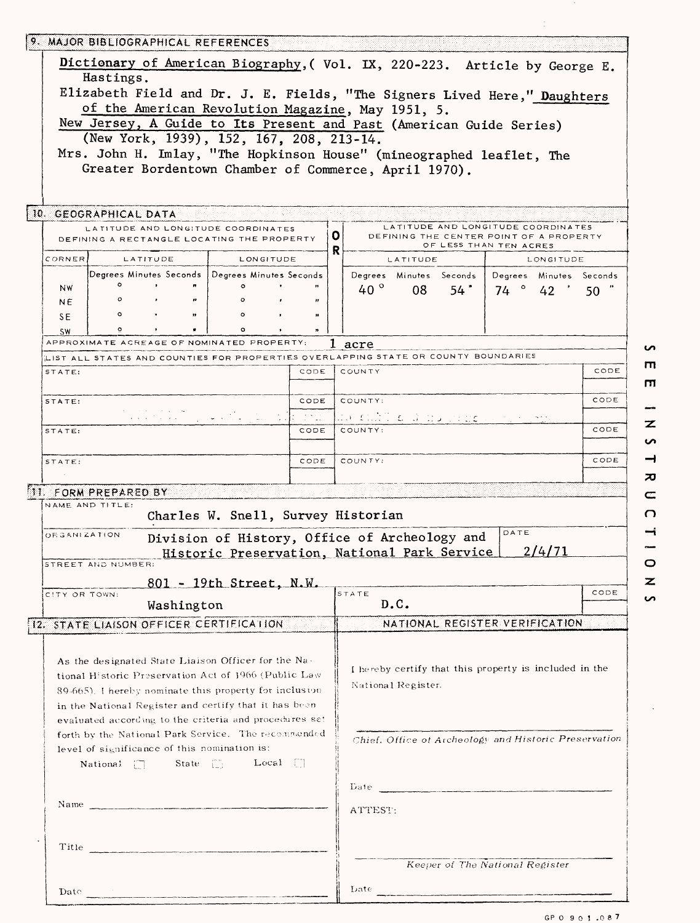|                     | 9. MAJOR BIBLIOGRAPHICAL REFERENCES          |            |                                                                                                                   |      |        |                      |                                                                                                                                                                                                                               |      |                                 |                         |      |
|---------------------|----------------------------------------------|------------|-------------------------------------------------------------------------------------------------------------------|------|--------|----------------------|-------------------------------------------------------------------------------------------------------------------------------------------------------------------------------------------------------------------------------|------|---------------------------------|-------------------------|------|
|                     |                                              |            | Dictionary of American Biography, (Vol. IX, 220-223. Article by George E.                                         |      |        |                      |                                                                                                                                                                                                                               |      |                                 |                         |      |
|                     | Hastings.                                    |            |                                                                                                                   |      |        |                      |                                                                                                                                                                                                                               |      |                                 |                         |      |
|                     |                                              |            | Elizabeth Field and Dr. J. E. Fields, "The Signers Lived Here," Daughters                                         |      |        |                      |                                                                                                                                                                                                                               |      |                                 |                         |      |
|                     |                                              |            | of the American Revolution Magazine, May 1951, 5.                                                                 |      |        |                      |                                                                                                                                                                                                                               |      |                                 |                         |      |
|                     |                                              |            | New Jersey, A Guide to Its Present and Past (American Guide Series)<br>(New York, 1939), 152, 167, 208, 213-14.   |      |        |                      |                                                                                                                                                                                                                               |      |                                 |                         |      |
|                     |                                              |            | Mrs. John H. Imlay, "The Hopkinson House" (mineographed leaflet, The                                              |      |        |                      |                                                                                                                                                                                                                               |      |                                 |                         |      |
|                     |                                              |            | Greater Bordentown Chamber of Commerce, April 1970).                                                              |      |        |                      |                                                                                                                                                                                                                               |      |                                 |                         |      |
|                     |                                              |            |                                                                                                                   |      |        |                      |                                                                                                                                                                                                                               |      |                                 |                         |      |
|                     | 10. GEOGRAPHICAL DATA                        |            |                                                                                                                   |      |        |                      |                                                                                                                                                                                                                               |      |                                 |                         |      |
|                     |                                              |            | LATITUDE AND LONGITUDE COORDINATES<br>DEFINING A RECTANGLE LOCATING THE PROPERTY                                  |      | ο<br>R |                      | LATITUDE AND LONGITUDE COORDINATES<br>DEFINING THE CENTER POINT OF A PROPERTY                                                                                                                                                 |      | OF LESS THAN TEN ACRES          |                         |      |
| CORNER              | LATITUDE                                     |            | LONGITUDE                                                                                                         |      |        |                      | LATITUDE                                                                                                                                                                                                                      |      |                                 | LONGITUDE               |      |
| <b>NW</b>           | $\bullet$                                    |            | Degrees Minutes Seconds   Degrees Minutes Seconds<br>$\circ$                                                      |      |        | 40 $^{\circ}$        | Degrees Minutes Seconds<br>08                                                                                                                                                                                                 | 54 " | 74°342'                         | Degrees Minutes Seconds |      |
| NE.                 | $\circ$                                      |            |                                                                                                                   | ,,   |        |                      |                                                                                                                                                                                                                               |      |                                 |                         | 50   |
| SE                  | $\circ$                                      |            | $\circ$                                                                                                           |      |        |                      |                                                                                                                                                                                                                               |      |                                 |                         |      |
| <b>SW</b>           | ۰                                            |            | $\circ$<br>APPROXIMATE ACREAGE OF NOMINATED PROPERTY:                                                             |      |        | l acre               |                                                                                                                                                                                                                               |      |                                 |                         |      |
|                     |                                              |            | LIST ALL STATES AND COUNTIES FOR PROPERTIES OVERLAPPING STATE OR COUNTY BOUNDARIES                                |      |        |                      |                                                                                                                                                                                                                               |      |                                 |                         |      |
| STATE:              |                                              |            |                                                                                                                   | CODE |        | COUNTY               |                                                                                                                                                                                                                               |      |                                 |                         | CODE |
| STATE:              |                                              |            |                                                                                                                   | CODE |        | COUNTY:              |                                                                                                                                                                                                                               |      |                                 |                         | CODE |
|                     |                                              |            | المنتقات المتأثرة الما                                                                                            | a Na |        | da cull o a nu rrock |                                                                                                                                                                                                                               |      |                                 |                         |      |
| STATE:              |                                              |            |                                                                                                                   | CODE |        | COUNTY:              |                                                                                                                                                                                                                               |      |                                 |                         | CODE |
|                     |                                              |            |                                                                                                                   | CODE |        | COUNTY:              |                                                                                                                                                                                                                               |      |                                 |                         | CODE |
| STATE:              |                                              |            |                                                                                                                   |      |        |                      |                                                                                                                                                                                                                               |      |                                 |                         |      |
|                     | 11. FORM PREPARED BY                         |            |                                                                                                                   |      |        |                      |                                                                                                                                                                                                                               |      |                                 |                         |      |
| NAME AND TITLE:     |                                              |            | Charles W. Snell, Survey Historian                                                                                |      |        |                      |                                                                                                                                                                                                                               |      |                                 |                         |      |
| <b>ORGANIZATION</b> |                                              |            | Division of History, Office of Archeology and                                                                     |      |        |                      |                                                                                                                                                                                                                               |      | DATE                            |                         |      |
|                     |                                              |            | Historic Preservation, National Park Service                                                                      |      |        |                      |                                                                                                                                                                                                                               |      |                                 | 2/4/71                  |      |
|                     | STREET AND NUMBER:                           |            |                                                                                                                   |      |        |                      |                                                                                                                                                                                                                               |      |                                 |                         |      |
| CITY OR TOWN:       |                                              |            | 801 - 19th Street, N.W.                                                                                           |      |        | STATE                |                                                                                                                                                                                                                               |      |                                 |                         | CODE |
|                     |                                              | Washington |                                                                                                                   |      |        |                      | D.C.                                                                                                                                                                                                                          |      |                                 |                         |      |
|                     |                                              |            | 12. STATE LIAISON OFFICER CERTIFICATION                                                                           |      |        |                      | NATIONAL REGISTER VERIFICATION                                                                                                                                                                                                |      |                                 |                         |      |
|                     |                                              |            |                                                                                                                   |      |        |                      |                                                                                                                                                                                                                               |      |                                 |                         |      |
|                     |                                              |            | As the designated State Liaison Officer for the Na-                                                               |      |        |                      | I hereby certify that this property is included in the                                                                                                                                                                        |      |                                 |                         |      |
|                     |                                              |            | tional Historic Preservation Act of 1966 (Public Law<br>$89-665$ ). I hereby nominate this property for inclusion |      |        |                      | National Register.                                                                                                                                                                                                            |      |                                 |                         |      |
|                     |                                              |            | in the National Register and certify that it has been                                                             |      |        |                      |                                                                                                                                                                                                                               |      |                                 |                         |      |
|                     |                                              |            | evaluated according to the criteria and procedures set                                                            |      |        |                      |                                                                                                                                                                                                                               |      |                                 |                         |      |
|                     |                                              |            | forth by the National Park Service. The recommended                                                               |      |        |                      | Chief, Office of Archeology and Historic Preservation                                                                                                                                                                         |      |                                 |                         |      |
|                     | level of significance of this nomination is: |            | National $\Box$ State $\Box$ Local $\Box$                                                                         |      |        |                      |                                                                                                                                                                                                                               |      |                                 |                         |      |
|                     |                                              |            |                                                                                                                   |      |        |                      |                                                                                                                                                                                                                               |      |                                 |                         |      |
|                     |                                              |            |                                                                                                                   |      |        |                      |                                                                                                                                                                                                                               |      |                                 |                         |      |
|                     |                                              |            | Name                                                                                                              |      |        | ATTEST:              |                                                                                                                                                                                                                               |      |                                 |                         |      |
|                     |                                              |            |                                                                                                                   |      |        |                      |                                                                                                                                                                                                                               |      |                                 |                         |      |
|                     |                                              |            | Title                                                                                                             |      |        |                      |                                                                                                                                                                                                                               |      |                                 |                         |      |
|                     |                                              |            |                                                                                                                   |      |        |                      |                                                                                                                                                                                                                               |      | Keeper of The National Register |                         |      |
|                     |                                              |            |                                                                                                                   |      |        |                      | Date experience and the set of the set of the set of the set of the set of the set of the set of the set of the set of the set of the set of the set of the set of the set of the set of the set of the set of the set of the |      |                                 |                         |      |
|                     |                                              |            |                                                                                                                   |      |        |                      |                                                                                                                                                                                                                               |      |                                 |                         |      |

 $\overline{a}$  $\overline{m}$  $\blacksquare$  $\overline{\phantom{a}}$  $\overline{z}$  $\bullet$  $\rightarrow$  $\overline{\bm{x}}$  $\subset$  $\Omega$  $\rightarrow$  $\overline{0}$ 

 $\overline{\mathbf{z}}$  $\overline{v}$